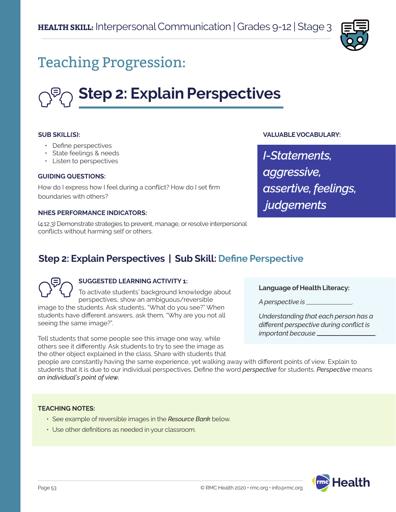

## Teaching Progression:

# **Step 2: Explain Perspectives**

#### **SUB SKILL(S):**

- Define perspectives
- State feelings & needs
- Listen to perspectives

#### **GUIDING QUESTIONS:**

How do I express how I feel during a conflict? How do I set firm boundaries with others?

#### **NHES PERFORMANCE INDICATORS:**

(4.12.3) Demonstrate strategies to prevent, manage, or resolve interpersonal conflicts without harming self or others.

## *I-Statements,*

**VALUABLE VOCABULARY:**

*aggressive, assertive, feelings, judgements*

## **Step 2: Explain Perspectives | Sub Skill: Define Perspective**

#### **SUGGESTED LEARNING ACTIVITY 1:**

To activate students' background knowledge about perspectives, show an ambiguous/reversible image to the students. Ask students, "What do you see?" When students have different answers, ask them, "Why are you not all seeing the same image?".

Tell students that some people see this image one way, while others see it differently. Ask students to try to see the image as the other object explained in the class. Share with students that **Language of Health Literacy:**

*A perspective is* .

*Understanding that each person has a different perspective during conflict is important because* .

people are constantly having the same experience, yet walking away with different points of view. Explain to students that it is due to our individual perspectives. Define the word *perspective* for students. *Perspective* means *an individual's point of view.*

#### **TEACHING NOTES:**

- See example of reversible images in the *Resource Bank* below.
- Use other definitions as needed in your classroom.

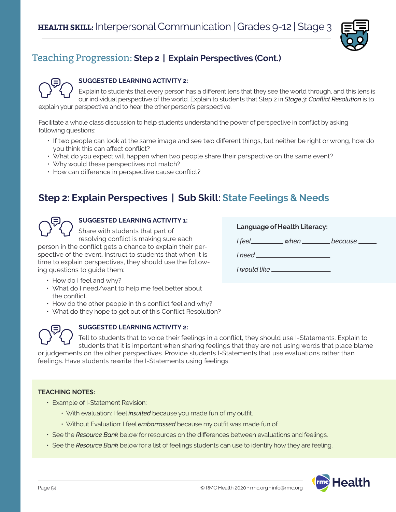

## Teaching Progression: **Step 2 | Explain Perspectives (Cont.)**



#### **SUGGESTED LEARNING ACTIVITY 2:**

Explain to students that every person has a different lens that they see the world through, and this lens is our individual perspective of the world. Explain to students that Step 2 in *Stage 3: Conflict Resolution* is to explain your perspective and to hear the other person's perspective.

Facilitate a whole class discussion to help students understand the power of perspective in conflict by asking following questions:

- If two people can look at the same image and see two different things, but neither be right or wrong, how do you think this can affect conflict?
- What do you expect will happen when two people share their perspective on the same event?
- Why would these perspectives not match?
- How can difference in perspective cause conflict?

## **Step 2: Explain Perspectives | Sub Skill: State Feelings & Needs**



## **SUGGESTED LEARNING ACTIVITY 1:**

Share with students that part of resolving conflict is making sure each

person in the conflict gets a chance to explain their perspective of the event. Instruct to students that when it is time to explain perspectives, they should use the following questions to guide them:

- How do I feel and why?
- What do I need/want to help me feel better about the conflict.
- How do the other people in this conflict feel and why?
- What do they hope to get out of this Conflict Resolution?



#### **SUGGESTED LEARNING ACTIVITY 2:**

Tell to students that to voice their feelings in a conflict, they should use I-Statements. Explain to students that it is important when sharing feelings that they are not using words that place blame

or judgements on the other perspectives. Provide students I-Statements that use evaluations rather than feelings. Have students rewrite the I-Statements using feelings.

#### **TEACHING NOTES:**

- Example of I-Statement Revision:
	- With evaluation: I feel *insulted* because you made fun of my outfit.
	- Without Evaluation: I feel *embarrassed* because my outfit was made fun of.
- See the *Resource Bank* below for resources on the differences between evaluations and feelings.
- See the *Resource Bank* below for a list of feelings students can use to identify how they are feeling.



**Language of Health Literacy:** *I* feel *because I need* . *I would like* .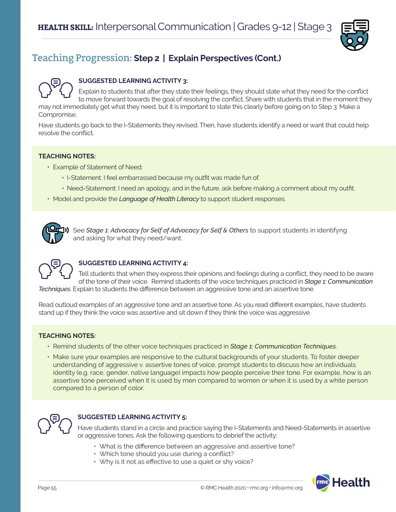

## Teaching Progression: **Step 2 | Explain Perspectives (Cont.)**



#### **SUGGESTED LEARNING ACTIVITY 3:**

Explain to students that after they state their feelings, they should state what they need for the conflict to move forward towards the goal of resolving the conflict. Share with students that in the moment they may not immediately get what they need, but it is important to state this clearly before going on to Step 3: Make a Compromise.

Have students go back to the I-Statements they revised. Then, have students identify a need or want that could help resolve the conflict.

#### **TEACHING NOTES:**

- Example of Statement of Need:
	- I-Statement: I feel embarrassed because my outfit was made fun of.
	- Need-Statement: I need an apology, and in the future, ask before making a comment about my outfit.
- Model and provide the *Language of Health Literacy* to support student responses.



See *Stage 1: Advocacy for Self of Advocacy for Self & Others* to support students in identifyng and asking for what they need/want.



#### **SUGGESTED LEARNING ACTIVITY 4:**

Tell students that when they express their opinions and feelings during a conflict, they need to be aware of the tone of their voice. Remind students of the voice techniques practiced in *Stage 1: Communication Techniques*. Explain to students the difference between an aggressive tone and an assertive tone.

Read outloud examples of an aggressive tone and an assertive tone. As you read different examples, have students stand up if they think the voice was assertive and sit down if they think the voice was aggressive.

#### **TEACHING NOTES:**

- Remind students of the other voice techniques practiced in *Stage 1: Communication Techniques.*
- Make sure your examples are responsive to the cultural backgrounds of your students. To foster deeper understanding of aggressive v. assertive tones of voice, prompt students to discuss how an individuals identity (e.g. race, gender, native language) impacts how people perceive their tone. For example, how is an assertive tone perceived when it is used by men compared to women or when it is used by a white person compared to a person of color.



#### **SUGGESTED LEARNING ACTIVITY 5:**

Have students stand in a circle and practice saying the I-Statements and Need-Statements in assertive or aggressive tones. Ask the following questions to debrief the activity:

- What is the difference between an aggressive and assertive tone?
- Which tone should you use during a conflict?
- Why is it not as effective to use a quiet or shy voice?